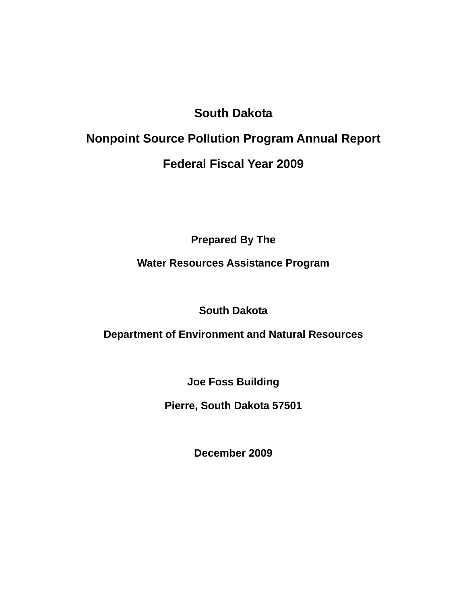# **South Dakota**

# **Nonpoint Source Pollution Program Annual Report Federal Fiscal Year 2009**

**Prepared By The** 

# **Water Resources Assistance Program**

**South Dakota** 

**Department of Environment and Natural Resources** 

**Joe Foss Building** 

**Pierre, South Dakota 57501** 

**December 2009**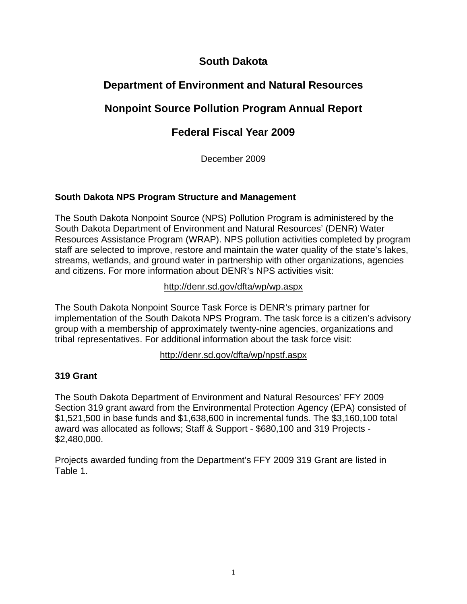# **South Dakota**

# **Department of Environment and Natural Resources**

# **Nonpoint Source Pollution Program Annual Report**

# **Federal Fiscal Year 2009**

December 2009

## **South Dakota NPS Program Structure and Management**

The South Dakota Nonpoint Source (NPS) Pollution Program is administered by the South Dakota Department of Environment and Natural Resources' (DENR) Water Resources Assistance Program (WRAP). NPS pollution activities completed by program staff are selected to improve, restore and maintain the water quality of the state's lakes, streams, wetlands, and ground water in partnership with other organizations, agencies and citizens. For more information about DENR's NPS activities visit:

http://denr.sd.gov/dfta/wp/wp.aspx

The South Dakota Nonpoint Source Task Force is DENR's primary partner for implementation of the South Dakota NPS Program. The task force is a citizen's advisory group with a membership of approximately twenty-nine agencies, organizations and tribal representatives. For additional information about the task force visit:

http://denr.sd.gov/dfta/wp/npstf.aspx

## **319 Grant**

The South Dakota Department of Environment and Natural Resources' FFY 2009 Section 319 grant award from the Environmental Protection Agency (EPA) consisted of \$1,521,500 in base funds and \$1,638,600 in incremental funds. The \$3,160,100 total award was allocated as follows; Staff & Support - \$680,100 and 319 Projects - \$2,480,000.

Projects awarded funding from the Department's FFY 2009 319 Grant are listed in Table 1.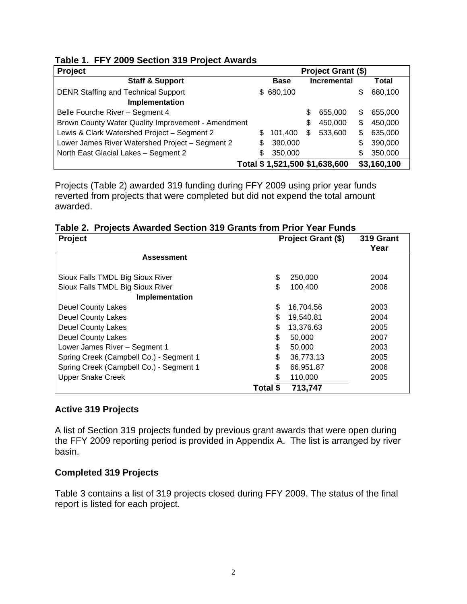|  |  |  |  | Table 1. FFY 2009 Section 319 Project Awards |
|--|--|--|--|----------------------------------------------|
|--|--|--|--|----------------------------------------------|

| <b>Project</b>                                     |   |                               |    | Project Grant (\$) |    |             |
|----------------------------------------------------|---|-------------------------------|----|--------------------|----|-------------|
| <b>Staff &amp; Support</b>                         |   | <b>Base</b>                   |    | <b>Incremental</b> |    | Total       |
| <b>DENR Staffing and Technical Support</b>         |   | \$680,100                     |    |                    | \$ | 680,100     |
| Implementation                                     |   |                               |    |                    |    |             |
| Belle Fourche River - Segment 4                    |   |                               | S  | 655,000            | S  | 655,000     |
| Brown County Water Quality Improvement - Amendment |   |                               | \$ | 450,000            | \$ | 450,000     |
| Lewis & Clark Watershed Project - Segment 2        |   | 101.400                       | S  | 533,600            | \$ | 635,000     |
| Lower James River Watershed Project - Segment 2    | S | 390,000                       |    |                    | \$ | 390,000     |
| North East Glacial Lakes - Segment 2               | S | 350,000                       |    |                    | \$ | 350,000     |
|                                                    |   | Total \$1,521,500 \$1,638,600 |    |                    |    | \$3,160,100 |

Projects (Table 2) awarded 319 funding during FFY 2009 using prior year funds reverted from projects that were completed but did not expend the total amount awarded.

|  | Table 2. Projects Awarded Section 319 Grants from Prior Year Funds |  |  |  |  |  |  |  |  |
|--|--------------------------------------------------------------------|--|--|--|--|--|--|--|--|
|--|--------------------------------------------------------------------|--|--|--|--|--|--|--|--|

| Project                                 | <b>Project Grant (\$)</b> | 319 Grant<br>Year |      |
|-----------------------------------------|---------------------------|-------------------|------|
| <b>Assessment</b>                       |                           |                   |      |
| Sioux Falls TMDL Big Sioux River        | \$                        | 250,000           | 2004 |
| Sioux Falls TMDL Big Sioux River        | \$                        | 100,400           | 2006 |
| Implementation                          |                           |                   |      |
| Deuel County Lakes                      | \$                        | 16,704.56         | 2003 |
| <b>Deuel County Lakes</b>               | \$                        | 19,540.81         | 2004 |
| <b>Deuel County Lakes</b>               | \$                        | 13,376.63         | 2005 |
| <b>Deuel County Lakes</b>               | \$                        | 50,000            | 2007 |
| Lower James River - Segment 1           | \$                        | 50,000            | 2003 |
| Spring Creek (Campbell Co.) - Segment 1 | \$                        | 36,773.13         | 2005 |
| Spring Creek (Campbell Co.) - Segment 1 | \$                        | 66,951.87         | 2006 |
| <b>Upper Snake Creek</b>                | \$                        | 110,000           | 2005 |
|                                         | Total \$                  | 713,747           |      |

#### **Active 319 Projects**

A list of Section 319 projects funded by previous grant awards that were open during the FFY 2009 reporting period is provided in Appendix A. The list is arranged by river basin.

#### **Completed 319 Projects**

Table 3 contains a list of 319 projects closed during FFY 2009. The status of the final report is listed for each project.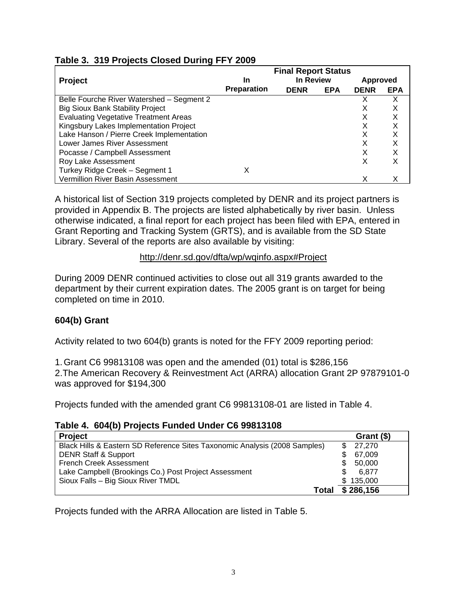|                                              |                    | <b>Final Report Status</b> |            |             |            |
|----------------------------------------------|--------------------|----------------------------|------------|-------------|------------|
| <b>Project</b>                               | In                 | In Review                  |            | Approved    |            |
|                                              | <b>Preparation</b> | <b>DENR</b>                | <b>EPA</b> | <b>DENR</b> | <b>EPA</b> |
| Belle Fourche River Watershed - Segment 2    |                    |                            |            |             | х          |
| <b>Big Sioux Bank Stability Project</b>      |                    |                            |            |             |            |
| <b>Evaluating Vegetative Treatment Areas</b> |                    |                            |            |             | X          |
| Kingsbury Lakes Implementation Project       |                    |                            |            |             | х          |
| Lake Hanson / Pierre Creek Implementation    |                    |                            |            |             | х          |
| Lower James River Assessment                 |                    |                            |            |             | Х          |
| Pocasse / Campbell Assessment                |                    |                            |            | х           |            |
| Roy Lake Assessment                          |                    |                            |            | х           |            |
| Turkey Ridge Creek - Segment 1               | х                  |                            |            |             |            |
| Vermillion River Basin Assessment            |                    |                            |            |             |            |

## **Table 3. 319 Projects Closed During FFY 2009**

A historical list of Section 319 projects completed by DENR and its project partners is provided in Appendix B. The projects are listed alphabetically by river basin. Unless otherwise indicated, a final report for each project has been filed with EPA, entered in Grant Reporting and Tracking System (GRTS), and is available from the SD State Library. Several of the reports are also available by visiting:

## http://denr.sd.gov/dfta/wp/wqinfo.aspx#Project

During 2009 DENR continued activities to close out all 319 grants awarded to the department by their current expiration dates. The 2005 grant is on target for being completed on time in 2010.

## **604(b) Grant**

Activity related to two 604(b) grants is noted for the FFY 2009 reporting period:

1. Grant C6 99813108 was open and the amended (01) total is \$286,156 2. The American Recovery & Reinvestment Act (ARRA) allocation Grant 2P 97879101-0 was approved for \$194,300

Projects funded with the amended grant C6 99813108-01 are listed in Table 4.

#### **Table 4. 604(b) Projects Funded Under C6 99813108**

| <b>Project</b>                                                             | Grant (\$) |
|----------------------------------------------------------------------------|------------|
| Black Hills & Eastern SD Reference Sites Taxonomic Analysis (2008 Samples) | 27,270     |
| <b>DENR Staff &amp; Support</b>                                            | 67,009     |
| <b>French Creek Assessment</b>                                             | 50,000     |
| Lake Campbell (Brookings Co.) Post Project Assessment                      | 6.877      |
| Sioux Falls - Big Sioux River TMDL                                         | \$135,000  |
| Total                                                                      | \$286,156  |

Projects funded with the ARRA Allocation are listed in Table 5.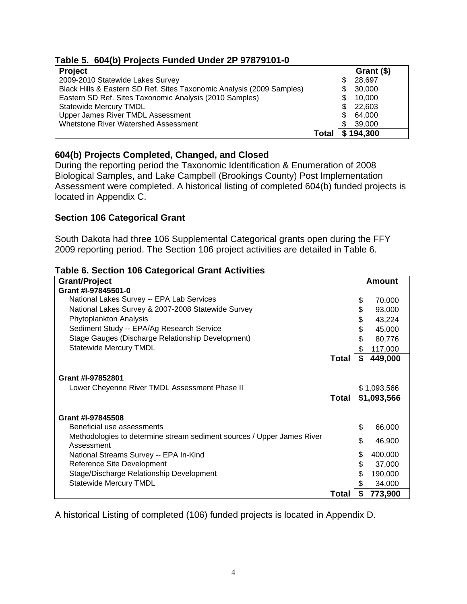# **Table 5. 604(b) Projects Funded Under 2P 97879101-0**

| <b>Project</b>                                                        |       | Grant (\$)    |
|-----------------------------------------------------------------------|-------|---------------|
| 2009-2010 Statewide Lakes Survey                                      |       | 28,697        |
| Black Hills & Eastern SD Ref. Sites Taxonomic Analysis (2009 Samples) |       | 30,000        |
| Eastern SD Ref. Sites Taxonomic Analysis (2010 Samples)               |       | 10,000        |
| <b>Statewide Mercury TMDL</b>                                         |       | 22,603<br>\$. |
| Upper James River TMDL Assessment                                     |       | 64,000<br>S.  |
| <b>Whetstone River Watershed Assessment</b>                           |       | 39,000        |
|                                                                       | Total | \$194,300     |

## **604(b) Projects Completed, Changed, and Closed**

During the reporting period the Taxonomic Identification & Enumeration of 2008 Biological Samples, and Lake Campbell (Brookings County) Post Implementation Assessment were completed. A historical listing of completed 604(b) funded projects is located in Appendix C.

#### **Section 106 Categorical Grant**

South Dakota had three 106 Supplemental Categorical grants open during the FFY 2009 reporting period. The Section 106 project activities are detailed in Table 6.

| <b>Grant/Project</b>                                                   |              |    | <b>Amount</b> |
|------------------------------------------------------------------------|--------------|----|---------------|
| Grant #I-97845501-0                                                    |              |    |               |
| National Lakes Survey -- EPA Lab Services                              |              | \$ | 70,000        |
| National Lakes Survey & 2007-2008 Statewide Survey                     |              | \$ | 93,000        |
| Phytoplankton Analysis                                                 |              | \$ | 43,224        |
| Sediment Study -- EPA/Ag Research Service                              |              | \$ | 45,000        |
| Stage Gauges (Discharge Relationship Development)                      |              | \$ | 80,776        |
| <b>Statewide Mercury TMDL</b>                                          |              | \$ | 117,000       |
|                                                                        | <b>Total</b> | S  | 449,000       |
|                                                                        |              |    |               |
| Grant #I-97852801                                                      |              |    |               |
| Lower Cheyenne River TMDL Assessment Phase II                          |              |    | \$1,093,566   |
|                                                                        | Total        |    | \$1,093,566   |
|                                                                        |              |    |               |
| Grant #I-97845508                                                      |              |    |               |
| Beneficial use assessments                                             |              | \$ | 66,000        |
| Methodologies to determine stream sediment sources / Upper James River |              |    |               |
| Assessment                                                             |              | \$ | 46,900        |
| National Streams Survey -- EPA In-Kind                                 |              | \$ | 400,000       |
| Reference Site Development                                             |              | \$ | 37,000        |
| Stage/Discharge Relationship Development                               |              | \$ | 190,000       |
| <b>Statewide Mercury TMDL</b>                                          |              | \$ | 34,000        |
|                                                                        | Total        |    | 773,900       |

#### **Table 6. Section 106 Categorical Grant Activities**

A historical Listing of completed (106) funded projects is located in Appendix D.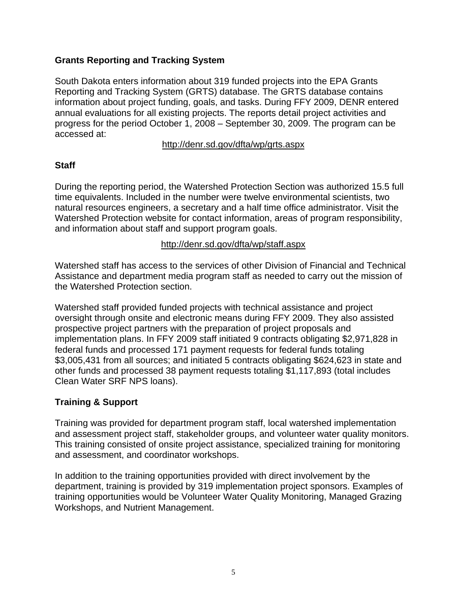## **Grants Reporting and Tracking System**

South Dakota enters information about 319 funded projects into the EPA Grants Reporting and Tracking System (GRTS) database. The GRTS database contains information about project funding, goals, and tasks. During FFY 2009, DENR entered annual evaluations for all existing projects. The reports detail project activities and progress for the period October 1, 2008 – September 30, 2009. The program can be accessed at:

#### http://denr.sd.gov/dfta/wp/grts.aspx

#### **Staff**

During the reporting period, the Watershed Protection Section was authorized 15.5 full time equivalents. Included in the number were twelve environmental scientists, two natural resources engineers, a secretary and a half time office administrator. Visit the Watershed Protection website for contact information, areas of program responsibility, and information about staff and support program goals.

#### http://denr.sd.gov/dfta/wp/staff.aspx

Watershed staff has access to the services of other Division of Financial and Technical Assistance and department media program staff as needed to carry out the mission of the Watershed Protection section.

Watershed staff provided funded projects with technical assistance and project oversight through onsite and electronic means during FFY 2009. They also assisted prospective project partners with the preparation of project proposals and implementation plans. In FFY 2009 staff initiated 9 contracts obligating \$2,971,828 in federal funds and processed 171 payment requests for federal funds totaling \$3,005,431 from all sources; and initiated 5 contracts obligating \$624,623 in state and other funds and processed 38 payment requests totaling \$1,117,893 (total includes Clean Water SRF NPS loans).

## **Training & Support**

Training was provided for department program staff, local watershed implementation and assessment project staff, stakeholder groups, and volunteer water quality monitors. This training consisted of onsite project assistance, specialized training for monitoring and assessment, and coordinator workshops.

In addition to the training opportunities provided with direct involvement by the department, training is provided by 319 implementation project sponsors. Examples of training opportunities would be Volunteer Water Quality Monitoring, Managed Grazing Workshops, and Nutrient Management.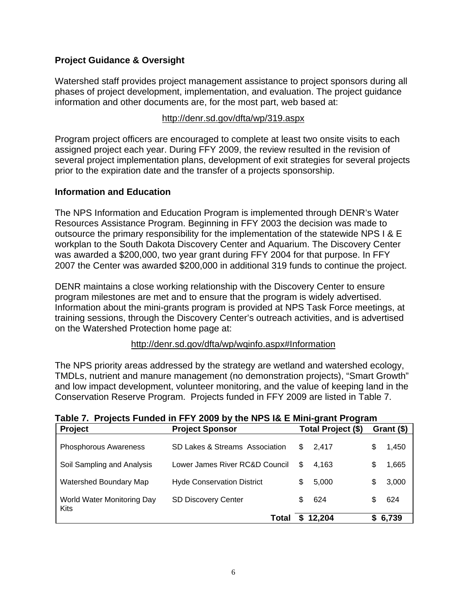## **Project Guidance & Oversight**

Watershed staff provides project management assistance to project sponsors during all phases of project development, implementation, and evaluation. The project guidance information and other documents are, for the most part, web based at:

#### http://denr.sd.gov/dfta/wp/319.aspx

Program project officers are encouraged to complete at least two onsite visits to each assigned project each year. During FFY 2009, the review resulted in the revision of several project implementation plans, development of exit strategies for several projects prior to the expiration date and the transfer of a projects sponsorship.

#### **Information and Education**

The NPS Information and Education Program is implemented through DENR's Water Resources Assistance Program. Beginning in FFY 2003 the decision was made to outsource the primary responsibility for the implementation of the statewide NPS I & E workplan to the South Dakota Discovery Center and Aquarium. The Discovery Center was awarded a \$200,000, two year grant during FFY 2004 for that purpose. In FFY 2007 the Center was awarded \$200,000 in additional 319 funds to continue the project.

DENR maintains a close working relationship with the Discovery Center to ensure program milestones are met and to ensure that the program is widely advertised. Information about the mini-grants program is provided at NPS Task Force meetings, at training sessions, through the Discovery Center's outreach activities, and is advertised on the Watershed Protection home page at:

#### http://denr.sd.gov/dfta/wp/wqinfo.aspx#Information

The NPS priority areas addressed by the strategy are wetland and watershed ecology, TMDLs, nutrient and manure management (no demonstration projects), "Smart Growth" and low impact development, volunteer monitoring, and the value of keeping land in the Conservation Reserve Program. Projects funded in FFY 2009 are listed in Table 7.

| <b>Project</b>                            | <b>Project Sponsor</b>            |     | Total Project (\$) |   | Grant (\$) |
|-------------------------------------------|-----------------------------------|-----|--------------------|---|------------|
| <b>Phosphorous Awareness</b>              | SD Lakes & Streams Association    | \$. | 2.417              | S | 1,450      |
| Soil Sampling and Analysis                | Lower James River RC&D Council    | S   | 4.163              | S | 1,665      |
| Watershed Boundary Map                    | <b>Hyde Conservation District</b> | \$. | 5,000              | S | 3,000      |
| World Water Monitoring Day<br><b>Kits</b> | <b>SD Discovery Center</b>        | \$. | 624                |   | 624        |
|                                           | Total                             | S.  | 12,204             |   | \$6,739    |

**Table 7. Projects Funded in FFY 2009 by the NPS I& E Mini-grant Program**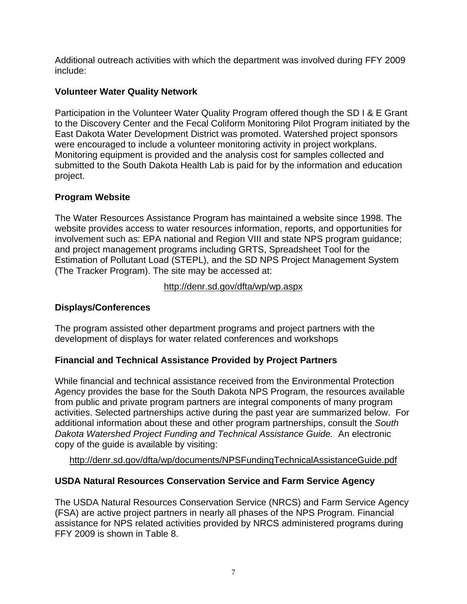Additional outreach activities with which the department was involved during FFY 2009 include:

## **Volunteer Water Quality Network**

Participation in the Volunteer Water Quality Program offered though the SD I & E Grant to the Discovery Center and the Fecal Coliform Monitoring Pilot Program initiated by the East Dakota Water Development District was promoted. Watershed project sponsors were encouraged to include a volunteer monitoring activity in project workplans. Monitoring equipment is provided and the analysis cost for samples collected and submitted to the South Dakota Health Lab is paid for by the information and education project.

# **Program Website**

The Water Resources Assistance Program has maintained a website since 1998. The website provides access to water resources information, reports, and opportunities for involvement such as: EPA national and Region VIII and state NPS program guidance; and project management programs including GRTS, Spreadsheet Tool for the Estimation of Pollutant Load (STEPL), and the SD NPS Project Management System (The Tracker Program). The site may be accessed at: ľ

## http://denr.sd.gov/dfta/wp/wp.aspx

# **Displays/Conferences**

The program assisted other department programs and project partners with the development of displays for water related conferences and workshops

# **Financial and Technical Assistance Provided by Project Partners**

While financial and technical assistance received from the Environmental Protection Agency provides the base for the South Dakota NPS Program, the resources available from public and private program partners are integral components of many program activities. Selected partnerships active during the past year are summarized below. For additional information about these and other program partnerships, consult the *South Dakota Watershed Project Funding and Technical Assistance Guide.* An electronic copy of the guide is available by visiting:

http://denr.sd.gov/dfta/wp/documents/NPSFundingTechnicalAssistanceGuide.pdf

# **USDA Natural Resources Conservation Service and Farm Service Agency**

The USDA Natural Resources Conservation Service (NRCS) and Farm Service Agency (FSA) are active project partners in nearly all phases of the NPS Program. Financial assistance for NPS related activities provided by NRCS administered programs during FFY 2009 is shown in Table 8.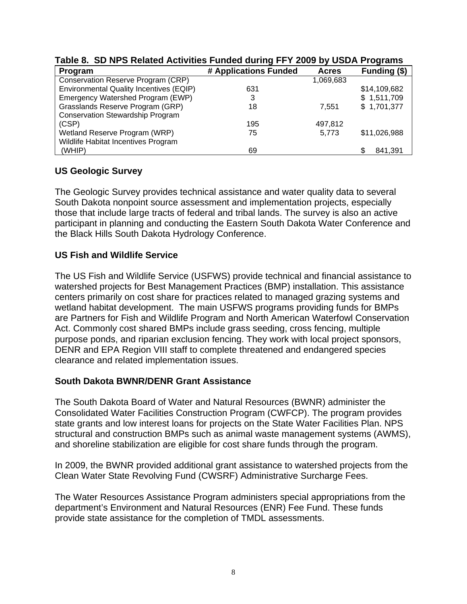| Program                                 | # Applications Funded | <b>Acres</b> | Funding (\$) |
|-----------------------------------------|-----------------------|--------------|--------------|
| Conservation Reserve Program (CRP)      |                       | 1,069,683    |              |
| Environmental Quality Incentives (EQIP) | 631                   |              | \$14,109,682 |
| Emergency Watershed Program (EWP)       | 3                     |              | \$1,511,709  |
| Grasslands Reserve Program (GRP)        | 18                    | 7.551        | \$1,701,377  |
| <b>Conservation Stewardship Program</b> |                       |              |              |
| (CSP)                                   | 195                   | 497,812      |              |
| Wetland Reserve Program (WRP)           | 75                    | 5,773        | \$11,026,988 |
| Wildlife Habitat Incentives Program     |                       |              |              |
| (WHIP)                                  | 69                    |              | 841,391<br>S |

# **Table 8. SD NPS Related Activities Funded during FFY 2009 by USDA Programs**

## **US Geologic Survey**

The Geologic Survey provides technical assistance and water quality data to several South Dakota nonpoint source assessment and implementation projects, especially those that include large tracts of federal and tribal lands. The survey is also an active participant in planning and conducting the Eastern South Dakota Water Conference and the Black Hills South Dakota Hydrology Conference.

## **US Fish and Wildlife Service**

The US Fish and Wildlife Service (USFWS) provide technical and financial assistance to watershed projects for Best Management Practices (BMP) installation. This assistance centers primarily on cost share for practices related to managed grazing systems and wetland habitat development. The main USFWS programs providing funds for BMPs are Partners for Fish and Wildlife Program and North American Waterfowl Conservation Act. Commonly cost shared BMPs include grass seeding, cross fencing, multiple purpose ponds, and riparian exclusion fencing. They work with local project sponsors, DENR and EPA Region VIII staff to complete threatened and endangered species clearance and related implementation issues.

#### **South Dakota BWNR/DENR Grant Assistance**

The South Dakota Board of Water and Natural Resources (BWNR) administer the Consolidated Water Facilities Construction Program (CWFCP). The program provides state grants and low interest loans for projects on the State Water Facilities Plan. NPS structural and construction BMPs such as animal waste management systems (AWMS), and shoreline stabilization are eligible for cost share funds through the program.

In 2009, the BWNR provided additional grant assistance to watershed projects from the Clean Water State Revolving Fund (CWSRF) Administrative Surcharge Fees.

The Water Resources Assistance Program administers special appropriations from the department's Environment and Natural Resources (ENR) Fee Fund. These funds provide state assistance for the completion of TMDL assessments.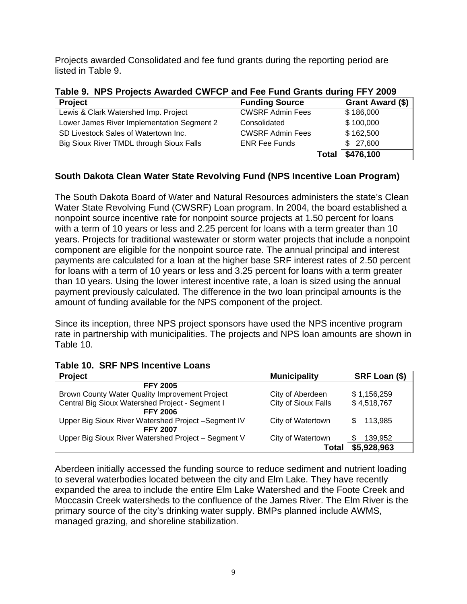Projects awarded Consolidated and fee fund grants during the reporting period are listed in Table 9.

**Table 9. NPS Projects Awarded CWFCP and Fee Fund Grants during FFY 2009** 

| <b>Project</b>                             | <b>Funding Source</b>   | Grant Award (\$) |
|--------------------------------------------|-------------------------|------------------|
| Lewis & Clark Watershed Imp. Project       | <b>CWSRF Admin Fees</b> | \$186,000        |
| Lower James River Implementation Segment 2 | Consolidated            | \$100,000        |
| SD Livestock Sales of Watertown Inc.       | <b>CWSRF Admin Fees</b> | \$162,500        |
| Big Sioux River TMDL through Sioux Falls   | <b>ENR Fee Funds</b>    | \$27,600         |
|                                            | Total                   | \$476,100        |

## **South Dakota Clean Water State Revolving Fund (NPS Incentive Loan Program)**

The South Dakota Board of Water and Natural Resources administers the state's Clean Water State Revolving Fund (CWSRF) Loan program. In 2004, the board established a nonpoint source incentive rate for nonpoint source projects at 1.50 percent for loans with a term of 10 years or less and 2.25 percent for loans with a term greater than 10 years. Projects for traditional wastewater or storm water projects that include a nonpoint component are eligible for the nonpoint source rate. The annual principal and interest payments are calculated for a loan at the higher base SRF interest rates of 2.50 percent for loans with a term of 10 years or less and 3.25 percent for loans with a term greater than 10 years. Using the lower interest incentive rate, a loan is sized using the annual payment previously calculated. The difference in the two loan principal amounts is the amount of funding available for the NPS component of the project.

Since its inception, three NPS project sponsors have used the NPS incentive program rate in partnership with municipalities. The projects and NPS loan amounts are shown in Table 10.

| <b>Project</b>                                      | <b>Municipality</b> | SRF Loan (\$)  |
|-----------------------------------------------------|---------------------|----------------|
| <b>FFY 2005</b>                                     |                     |                |
| Brown County Water Quality Improvement Project      | City of Aberdeen    | \$1,156,259    |
| Central Big Sioux Watershed Project - Segment I     | City of Sioux Falls | \$4,518,767    |
| <b>FFY 2006</b>                                     |                     |                |
| Upper Big Sioux River Watershed Project -Segment IV | City of Watertown   | 113.985<br>\$. |
| <b>FFY 2007</b>                                     |                     |                |
| Upper Big Sioux River Watershed Project - Segment V | City of Watertown   | 139,952<br>S   |
|                                                     | Total               | \$5,928,963    |

**Table 10. SRF NPS Incentive Loans** 

Aberdeen initially accessed the funding source to reduce sediment and nutrient loading to several waterbodies located between the city and Elm Lake. They have recently expanded the area to include the entire Elm Lake Watershed and the Foote Creek and Moccasin Creek watersheds to the confluence of the James River. The Elm River is the primary source of the city's drinking water supply. BMPs planned include AWMS, managed grazing, and shoreline stabilization.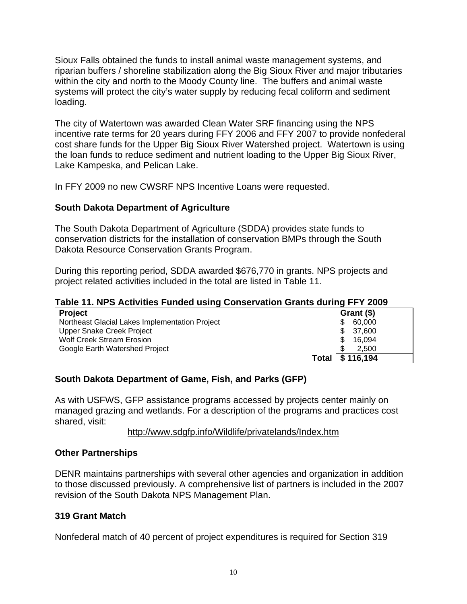Sioux Falls obtained the funds to install animal waste management systems, and riparian buffers / shoreline stabilization along the Big Sioux River and major tributaries within the city and north to the Moody County line. The buffers and animal waste systems will protect the city's water supply by reducing fecal coliform and sediment loading.

The city of Watertown was awarded Clean Water SRF financing using the NPS incentive rate terms for 20 years during FFY 2006 and FFY 2007 to provide nonfederal cost share funds for the Upper Big Sioux River Watershed project. Watertown is using the loan funds to reduce sediment and nutrient loading to the Upper Big Sioux River, Lake Kampeska, and Pelican Lake.

In FFY 2009 no new CWSRF NPS Incentive Loans were requested.

## **South Dakota Department of Agriculture**

The South Dakota Department of Agriculture (SDDA) provides state funds to conservation districts for the installation of conservation BMPs through the South Dakota Resource Conservation Grants Program.

During this reporting period, SDDA awarded \$676,770 in grants. NPS projects and project related activities included in the total are listed in Table 11.

#### **Table 11. NPS Activities Funded using Conservation Grants during FFY 2009**

| <b>Project</b>                                 | Grant (\$) |  |
|------------------------------------------------|------------|--|
| Northeast Glacial Lakes Implementation Project | 60.000     |  |
| Upper Snake Creek Project                      | \$37,600   |  |
| <b>Wolf Creek Stream Erosion</b>               | 16.094     |  |
| Google Earth Watershed Project                 | 2.500      |  |
| Total                                          | \$116,194  |  |

## **South Dakota Department of Game, Fish, and Parks (GFP)**

As with USFWS, GFP assistance programs accessed by projects center mainly on managed grazing and wetlands. For a description of the programs and practices cost shared, visit:

#### http://www.sdgfp.info/Wildlife/privatelands/Index.htm

#### **Other Partnerships**

DENR maintains partnerships with several other agencies and organization in addition to those discussed previously. A comprehensive list of partners is included in the 2007 revision of the South Dakota NPS Management Plan.

#### **319 Grant Match**

Nonfederal match of 40 percent of project expenditures is required for Section 319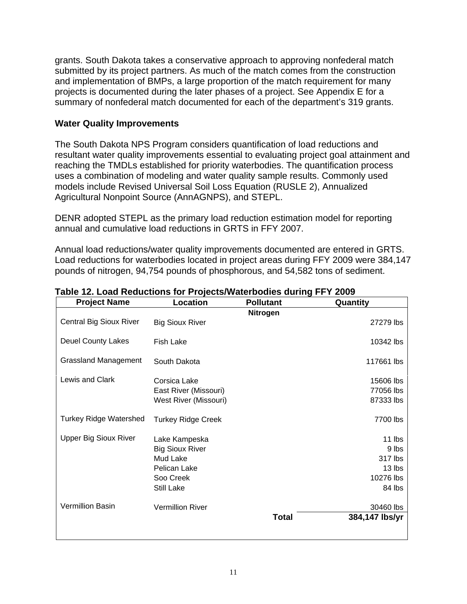grants. South Dakota takes a conservative approach to approving nonfederal match submitted by its project partners. As much of the match comes from the construction and implementation of BMPs, a large proportion of the match requirement for many projects is documented during the later phases of a project. See Appendix E for a summary of nonfederal match documented for each of the department's 319 grants.

#### **Water Quality Improvements**

The South Dakota NPS Program considers quantification of load reductions and resultant water quality improvements essential to evaluating project goal attainment and reaching the TMDLs established for priority waterbodies. The quantification process uses a combination of modeling and water quality sample results. Commonly used models include Revised Universal Soil Loss Equation (RUSLE 2), Annualized Agricultural Nonpoint Source (AnnAGNPS), and STEPL.

DENR adopted STEPL as the primary load reduction estimation model for reporting annual and cumulative load reductions in GRTS in FFY 2007.

Annual load reductions/water quality improvements documented are entered in GRTS. Load reductions for waterbodies located in project areas during FFY 2009 were 384,147 pounds of nitrogen, 94,754 pounds of phosphorous, and 54,582 tons of sediment.

| <b>Project Name</b>            | <b>Location</b>                                                                                | <b>Pollutant</b> | Quantity                                                    |
|--------------------------------|------------------------------------------------------------------------------------------------|------------------|-------------------------------------------------------------|
| <b>Central Big Sioux River</b> | <b>Big Sioux River</b>                                                                         | Nitrogen         | 27279 lbs                                                   |
| <b>Deuel County Lakes</b>      | <b>Fish Lake</b>                                                                               |                  | 10342 lbs                                                   |
| <b>Grassland Management</b>    | South Dakota                                                                                   |                  | 117661 lbs                                                  |
| Lewis and Clark                | Corsica Lake<br>East River (Missouri)<br>West River (Missouri)                                 |                  | 15606 lbs<br>77056 lbs<br>87333 lbs                         |
| <b>Turkey Ridge Watershed</b>  | <b>Turkey Ridge Creek</b>                                                                      |                  | 7700 lbs                                                    |
| <b>Upper Big Sioux River</b>   | Lake Kampeska<br><b>Big Sioux River</b><br>Mud Lake<br>Pelican Lake<br>Soo Creek<br>Still Lake |                  | 11 lbs<br>9 lbs<br>317 lbs<br>13 lbs<br>10276 lbs<br>84 lbs |
| Vermillion Basin               | <b>Vermillion River</b>                                                                        | <b>Total</b>     | 30460 lbs<br>384,147 lbs/yr                                 |

**Table 12. Load Reductions for Projects/Waterbodies during FFY 2009**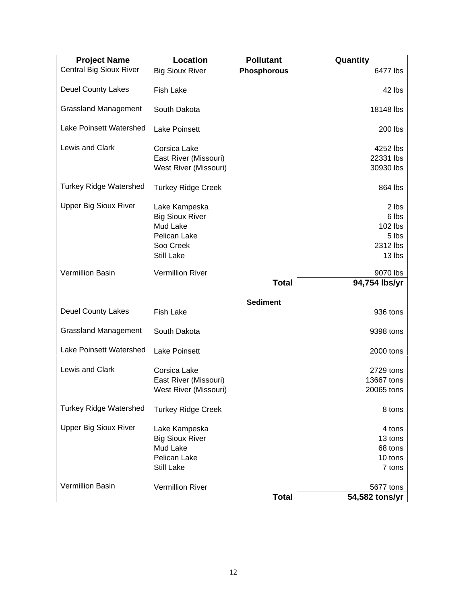| <b>Project Name</b>            | Location                  | <b>Pollutant</b>   | Quantity       |
|--------------------------------|---------------------------|--------------------|----------------|
| <b>Central Big Sioux River</b> | <b>Big Sioux River</b>    | <b>Phosphorous</b> | 6477 lbs       |
| <b>Deuel County Lakes</b>      | <b>Fish Lake</b>          |                    | 42 lbs         |
| <b>Grassland Management</b>    | South Dakota              |                    | 18148 lbs      |
| Lake Poinsett Watershed        | <b>Lake Poinsett</b>      |                    | 200 lbs        |
| Lewis and Clark                | Corsica Lake              |                    | 4252 lbs       |
|                                | East River (Missouri)     |                    | 22331 lbs      |
|                                | West River (Missouri)     |                    | 30930 lbs      |
| <b>Turkey Ridge Watershed</b>  | <b>Turkey Ridge Creek</b> |                    | 864 lbs        |
| <b>Upper Big Sioux River</b>   | Lake Kampeska             |                    | 2 lbs          |
|                                | <b>Big Sioux River</b>    |                    | 6 lbs          |
|                                | Mud Lake                  |                    | 102 lbs        |
|                                | Pelican Lake              |                    | 5 lbs          |
|                                | Soo Creek                 |                    | 2312 lbs       |
|                                | Still Lake                |                    | 13 lbs         |
| <b>Vermillion Basin</b>        | <b>Vermillion River</b>   |                    | 9070 lbs       |
|                                |                           | <b>Total</b>       | 94,754 lbs/yr  |
|                                |                           |                    |                |
|                                |                           | <b>Sediment</b>    |                |
| <b>Deuel County Lakes</b>      | <b>Fish Lake</b>          |                    | 936 tons       |
| <b>Grassland Management</b>    | South Dakota              |                    | 9398 tons      |
| <b>Lake Poinsett Watershed</b> | <b>Lake Poinsett</b>      |                    | 2000 tons      |
| Lewis and Clark                | Corsica Lake              |                    | 2729 tons      |
|                                | East River (Missouri)     |                    | 13667 tons     |
|                                | West River (Missouri)     |                    | 20065 tons     |
| <b>Turkey Ridge Watershed</b>  | <b>Turkey Ridge Creek</b> |                    | 8 tons         |
| <b>Upper Big Sioux River</b>   | Lake Kampeska             |                    | 4 tons         |
|                                | <b>Big Sioux River</b>    |                    | 13 tons        |
|                                | Mud Lake                  |                    | 68 tons        |
|                                | Pelican Lake              |                    | 10 tons        |
|                                | Still Lake                |                    | 7 tons         |
|                                |                           |                    |                |
| Vermillion Basin               | <b>Vermillion River</b>   |                    | 5677 tons      |
|                                |                           | <b>Total</b>       | 54,582 tons/yr |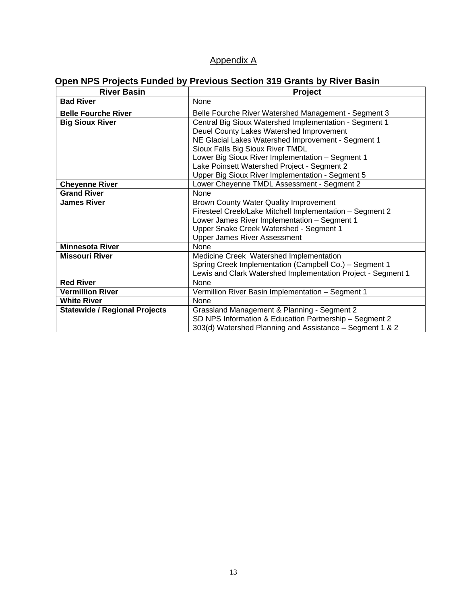## Appendix A

# **Open NPS Projects Funded by Previous Section 319 Grants by River Basin**

| <b>River Basin</b>                   | <b>Project</b>                                               |  |  |  |
|--------------------------------------|--------------------------------------------------------------|--|--|--|
| <b>Bad River</b>                     | <b>None</b>                                                  |  |  |  |
| <b>Belle Fourche River</b>           | Belle Fourche River Watershed Management - Segment 3         |  |  |  |
| <b>Big Sioux River</b>               | Central Big Sioux Watershed Implementation - Segment 1       |  |  |  |
|                                      | Deuel County Lakes Watershed Improvement                     |  |  |  |
|                                      | NE Glacial Lakes Watershed Improvement - Segment 1           |  |  |  |
|                                      | Sioux Falls Big Sioux River TMDL                             |  |  |  |
|                                      | Lower Big Sioux River Implementation - Segment 1             |  |  |  |
|                                      | Lake Poinsett Watershed Project - Segment 2                  |  |  |  |
|                                      | Upper Big Sioux River Implementation - Segment 5             |  |  |  |
| <b>Cheyenne River</b>                | Lower Cheyenne TMDL Assessment - Segment 2                   |  |  |  |
| <b>Grand River</b>                   | <b>None</b>                                                  |  |  |  |
| <b>James River</b>                   | Brown County Water Quality Improvement                       |  |  |  |
|                                      | Firesteel Creek/Lake Mitchell Implementation - Segment 2     |  |  |  |
|                                      | Lower James River Implementation - Segment 1                 |  |  |  |
|                                      | Upper Snake Creek Watershed - Segment 1                      |  |  |  |
|                                      | <b>Upper James River Assessment</b>                          |  |  |  |
| <b>Minnesota River</b>               | <b>None</b>                                                  |  |  |  |
| <b>Missouri River</b>                | Medicine Creek Watershed Implementation                      |  |  |  |
|                                      | Spring Creek Implementation (Campbell Co.) - Segment 1       |  |  |  |
|                                      | Lewis and Clark Watershed Implementation Project - Segment 1 |  |  |  |
| <b>Red River</b>                     | None                                                         |  |  |  |
| <b>Vermillion River</b>              | Vermillion River Basin Implementation - Segment 1            |  |  |  |
| <b>White River</b>                   | None                                                         |  |  |  |
| <b>Statewide / Regional Projects</b> | Grassland Management & Planning - Segment 2                  |  |  |  |
|                                      | SD NPS Information & Education Partnership - Segment 2       |  |  |  |
|                                      | 303(d) Watershed Planning and Assistance - Segment 1 & 2     |  |  |  |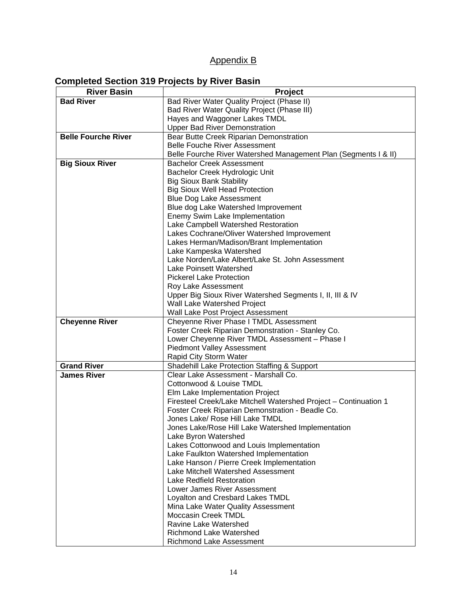## Appendix B

## **Completed Section 319 Projects by River Basin**

| <b>River Basin</b>         | <b>Project</b>                                                             |  |  |
|----------------------------|----------------------------------------------------------------------------|--|--|
| <b>Bad River</b>           | Bad River Water Quality Project (Phase II)                                 |  |  |
|                            | Bad River Water Quality Project (Phase III)                                |  |  |
|                            | Hayes and Waggoner Lakes TMDL                                              |  |  |
|                            | <b>Upper Bad River Demonstration</b>                                       |  |  |
| <b>Belle Fourche River</b> | Bear Butte Creek Riparian Demonstration                                    |  |  |
|                            | <b>Belle Fouche River Assessment</b>                                       |  |  |
|                            | Belle Fourche River Watershed Management Plan (Segments I & II)            |  |  |
| <b>Big Sioux River</b>     | <b>Bachelor Creek Assessment</b>                                           |  |  |
|                            | Bachelor Creek Hydrologic Unit                                             |  |  |
|                            | <b>Big Sioux Bank Stability</b>                                            |  |  |
|                            | <b>Big Sioux Well Head Protection</b>                                      |  |  |
|                            | <b>Blue Dog Lake Assessment</b>                                            |  |  |
|                            | Blue dog Lake Watershed Improvement                                        |  |  |
|                            | Enemy Swim Lake Implementation                                             |  |  |
|                            | Lake Campbell Watershed Restoration                                        |  |  |
|                            | Lakes Cochrane/Oliver Watershed Improvement                                |  |  |
|                            | Lakes Herman/Madison/Brant Implementation                                  |  |  |
|                            | Lake Kampeska Watershed                                                    |  |  |
|                            | Lake Norden/Lake Albert/Lake St. John Assessment                           |  |  |
|                            | <b>Lake Poinsett Watershed</b>                                             |  |  |
|                            | <b>Pickerel Lake Protection</b>                                            |  |  |
|                            | Roy Lake Assessment                                                        |  |  |
|                            | Upper Big Sioux River Watershed Segments I, II, III & IV                   |  |  |
|                            | Wall Lake Watershed Project                                                |  |  |
|                            | Wall Lake Post Project Assessment                                          |  |  |
| <b>Cheyenne River</b>      | Cheyenne River Phase I TMDL Assessment                                     |  |  |
|                            | Foster Creek Riparian Demonstration - Stanley Co.                          |  |  |
|                            | Lower Cheyenne River TMDL Assessment - Phase I                             |  |  |
|                            | <b>Piedmont Valley Assessment</b>                                          |  |  |
|                            | Rapid City Storm Water                                                     |  |  |
| <b>Grand River</b>         | Shadehill Lake Protection Staffing & Support                               |  |  |
| James River                | Clear Lake Assessment - Marshall Co.                                       |  |  |
|                            | Cottonwood & Louise TMDL                                                   |  |  |
|                            | Elm Lake Implementation Project                                            |  |  |
|                            | Firesteel Creek/Lake Mitchell Watershed Project - Continuation 1           |  |  |
|                            | Foster Creek Riparian Demonstration - Beadle Co.                           |  |  |
|                            | Jones Lake/ Rose Hill Lake TMDL                                            |  |  |
|                            | Jones Lake/Rose Hill Lake Watershed Implementation<br>Lake Byron Watershed |  |  |
|                            | Lakes Cottonwood and Louis Implementation                                  |  |  |
|                            | Lake Faulkton Watershed Implementation                                     |  |  |
|                            | Lake Hanson / Pierre Creek Implementation                                  |  |  |
|                            | Lake Mitchell Watershed Assessment                                         |  |  |
|                            | Lake Redfield Restoration                                                  |  |  |
|                            | Lower James River Assessment                                               |  |  |
|                            | Loyalton and Cresbard Lakes TMDL                                           |  |  |
|                            | Mina Lake Water Quality Assessment                                         |  |  |
|                            | Moccasin Creek TMDL                                                        |  |  |
|                            | Ravine Lake Watershed                                                      |  |  |
|                            | <b>Richmond Lake Watershed</b>                                             |  |  |
|                            | Richmond Lake Assessment                                                   |  |  |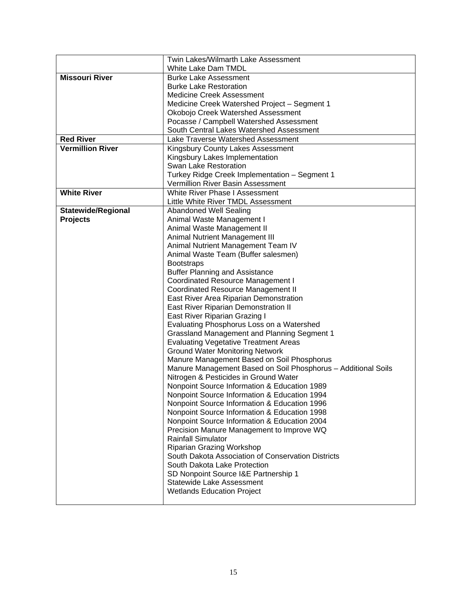|                         | Twin Lakes/Wilmarth Lake Assessment                                                             |  |  |
|-------------------------|-------------------------------------------------------------------------------------------------|--|--|
|                         | White Lake Dam TMDL                                                                             |  |  |
| <b>Missouri River</b>   | <b>Burke Lake Assessment</b>                                                                    |  |  |
|                         | <b>Burke Lake Restoration</b>                                                                   |  |  |
|                         | <b>Medicine Creek Assessment</b>                                                                |  |  |
|                         | Medicine Creek Watershed Project - Segment 1                                                    |  |  |
|                         | Okobojo Creek Watershed Assessment                                                              |  |  |
|                         | Pocasse / Campbell Watershed Assessment                                                         |  |  |
|                         | South Central Lakes Watershed Assessment                                                        |  |  |
| <b>Red River</b>        | Lake Traverse Watershed Assessment                                                              |  |  |
| <b>Vermillion River</b> | Kingsbury County Lakes Assessment                                                               |  |  |
|                         | Kingsbury Lakes Implementation                                                                  |  |  |
|                         | Swan Lake Restoration                                                                           |  |  |
|                         | Turkey Ridge Creek Implementation - Segment 1                                                   |  |  |
|                         | Vermillion River Basin Assessment                                                               |  |  |
| <b>White River</b>      | White River Phase I Assessment                                                                  |  |  |
|                         | Little White River TMDL Assessment                                                              |  |  |
| Statewide/Regional      | Abandoned Well Sealing                                                                          |  |  |
| <b>Projects</b>         | Animal Waste Management I                                                                       |  |  |
|                         | Animal Waste Management II                                                                      |  |  |
|                         | Animal Nutrient Management III                                                                  |  |  |
|                         | Animal Nutrient Management Team IV                                                              |  |  |
|                         | Animal Waste Team (Buffer salesmen)                                                             |  |  |
|                         | <b>Bootstraps</b>                                                                               |  |  |
|                         | <b>Buffer Planning and Assistance</b>                                                           |  |  |
|                         | Coordinated Resource Management I                                                               |  |  |
|                         | <b>Coordinated Resource Management II</b>                                                       |  |  |
|                         | East River Area Riparian Demonstration                                                          |  |  |
|                         | East River Riparian Demonstration II                                                            |  |  |
|                         | East River Riparian Grazing I                                                                   |  |  |
|                         | Evaluating Phosphorus Loss on a Watershed<br><b>Grassland Management and Planning Segment 1</b> |  |  |
|                         | <b>Evaluating Vegetative Treatment Areas</b>                                                    |  |  |
|                         | <b>Ground Water Monitoring Network</b>                                                          |  |  |
|                         | Manure Management Based on Soil Phosphorus                                                      |  |  |
|                         | Manure Management Based on Soil Phosphorus - Additional Soils                                   |  |  |
|                         | Nitrogen & Pesticides in Ground Water                                                           |  |  |
|                         | Nonpoint Source Information & Education 1989                                                    |  |  |
|                         | Nonpoint Source Information & Education 1994                                                    |  |  |
|                         | Nonpoint Source Information & Education 1996                                                    |  |  |
|                         | Nonpoint Source Information & Education 1998                                                    |  |  |
|                         | Nonpoint Source Information & Education 2004                                                    |  |  |
|                         | Precision Manure Management to Improve WQ                                                       |  |  |
|                         | <b>Rainfall Simulator</b>                                                                       |  |  |
|                         | Riparian Grazing Workshop                                                                       |  |  |
|                         | South Dakota Association of Conservation Districts                                              |  |  |
|                         | South Dakota Lake Protection                                                                    |  |  |
|                         | SD Nonpoint Source I&E Partnership 1                                                            |  |  |
|                         | Statewide Lake Assessment                                                                       |  |  |
|                         | <b>Wetlands Education Project</b>                                                               |  |  |
|                         |                                                                                                 |  |  |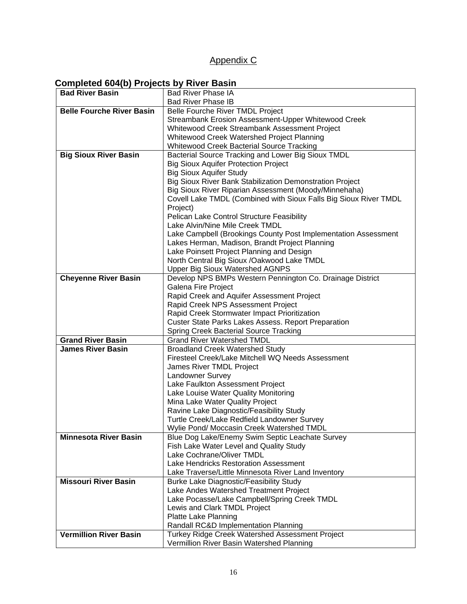# Appendix C

# **Completed 604(b) Projects by River Basin**

| <b>Bad River Basin</b>           | <b>Bad River Phase IA</b>                                        |
|----------------------------------|------------------------------------------------------------------|
|                                  | <b>Bad River Phase IB</b>                                        |
| <b>Belle Fourche River Basin</b> | Belle Fourche River TMDL Project                                 |
|                                  | Streambank Erosion Assessment-Upper Whitewood Creek              |
|                                  | Whitewood Creek Streambank Assessment Project                    |
|                                  | Whitewood Creek Watershed Project Planning                       |
|                                  | <b>Whitewood Creek Bacterial Source Tracking</b>                 |
| <b>Big Sioux River Basin</b>     | Bacterial Source Tracking and Lower Big Sioux TMDL               |
|                                  | <b>Big Sioux Aquifer Protection Project</b>                      |
|                                  | <b>Big Sioux Aquifer Study</b>                                   |
|                                  | Big Sioux River Bank Stabilization Demonstration Project         |
|                                  | Big Sioux River Riparian Assessment (Moody/Minnehaha)            |
|                                  | Covell Lake TMDL (Combined with Sioux Falls Big Sioux River TMDL |
|                                  | Project)                                                         |
|                                  | Pelican Lake Control Structure Feasibility                       |
|                                  | Lake Alvin/Nine Mile Creek TMDL                                  |
|                                  | Lake Campbell (Brookings County Post Implementation Assessment   |
|                                  | Lakes Herman, Madison, Brandt Project Planning                   |
|                                  | Lake Poinsett Project Planning and Design                        |
|                                  | North Central Big Sioux /Oakwood Lake TMDL                       |
|                                  | <b>Upper Big Sioux Watershed AGNPS</b>                           |
| <b>Cheyenne River Basin</b>      | Develop NPS BMPs Western Pennington Co. Drainage District        |
|                                  | Galena Fire Project                                              |
|                                  | Rapid Creek and Aquifer Assessment Project                       |
|                                  | Rapid Creek NPS Assessment Project                               |
|                                  | Rapid Creek Stormwater Impact Prioritization                     |
|                                  | <b>Custer State Parks Lakes Assess. Report Preparation</b>       |
|                                  | <b>Spring Creek Bacterial Source Tracking</b>                    |
| <b>Grand River Basin</b>         | <b>Grand River Watershed TMDL</b>                                |
| <b>James River Basin</b>         | <b>Broadland Creek Watershed Study</b>                           |
|                                  | Firesteel Creek/Lake Mitchell WQ Needs Assessment                |
|                                  | James River TMDL Project                                         |
|                                  | Landowner Survey                                                 |
|                                  | Lake Faulkton Assessment Project                                 |
|                                  | Lake Louise Water Quality Monitoring                             |
|                                  | Mina Lake Water Quality Project                                  |
|                                  | Ravine Lake Diagnostic/Feasibility Study                         |
|                                  | Turtle Creek/Lake Redfield Landowner Survey                      |
|                                  | Wylie Pond/ Moccasin Creek Watershed TMDL                        |
| <b>Minnesota River Basin</b>     | Blue Dog Lake/Enemy Swim Septic Leachate Survey                  |
|                                  | Fish Lake Water Level and Quality Study                          |
|                                  | Lake Cochrane/Oliver TMDL                                        |
|                                  | Lake Hendricks Restoration Assessment                            |
|                                  | Lake Traverse/Little Minnesota River Land Inventory              |
| <b>Missouri River Basin</b>      | <b>Burke Lake Diagnostic/Feasibility Study</b>                   |
|                                  | Lake Andes Watershed Treatment Project                           |
|                                  | Lake Pocasse/Lake Campbell/Spring Creek TMDL                     |
|                                  | Lewis and Clark TMDL Project                                     |
|                                  | Platte Lake Planning                                             |
|                                  | Randall RC&D Implementation Planning                             |
| <b>Vermillion River Basin</b>    | Turkey Ridge Creek Watershed Assessment Project                  |
|                                  | Vermillion River Basin Watershed Planning                        |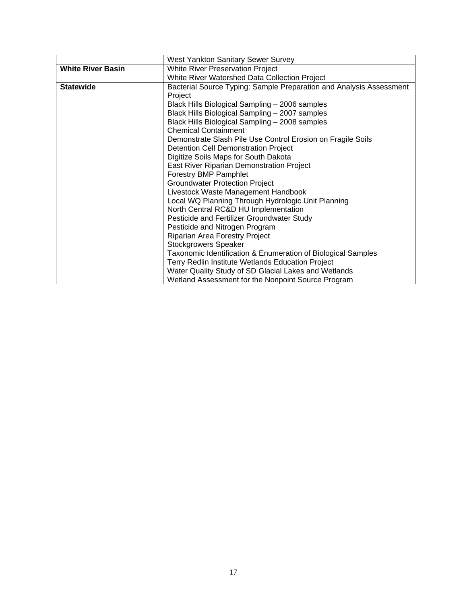|                          | West Yankton Sanitary Sewer Survey                                  |  |  |  |
|--------------------------|---------------------------------------------------------------------|--|--|--|
| <b>White River Basin</b> | <b>White River Preservation Project</b>                             |  |  |  |
|                          | White River Watershed Data Collection Project                       |  |  |  |
| <b>Statewide</b>         | Bacterial Source Typing: Sample Preparation and Analysis Assessment |  |  |  |
|                          | Project                                                             |  |  |  |
|                          | Black Hills Biological Sampling - 2006 samples                      |  |  |  |
|                          | Black Hills Biological Sampling - 2007 samples                      |  |  |  |
|                          | Black Hills Biological Sampling - 2008 samples                      |  |  |  |
|                          | <b>Chemical Containment</b>                                         |  |  |  |
|                          | Demonstrate Slash Pile Use Control Erosion on Fragile Soils         |  |  |  |
|                          | Detention Cell Demonstration Project                                |  |  |  |
|                          | Digitize Soils Maps for South Dakota                                |  |  |  |
|                          | East River Riparian Demonstration Project                           |  |  |  |
|                          | Forestry BMP Pamphlet                                               |  |  |  |
|                          | <b>Groundwater Protection Project</b>                               |  |  |  |
|                          | Livestock Waste Management Handbook                                 |  |  |  |
|                          | Local WQ Planning Through Hydrologic Unit Planning                  |  |  |  |
|                          | North Central RC&D HU Implementation                                |  |  |  |
|                          | Pesticide and Fertilizer Groundwater Study                          |  |  |  |
|                          | Pesticide and Nitrogen Program                                      |  |  |  |
|                          | Riparian Area Forestry Project                                      |  |  |  |
|                          | <b>Stockgrowers Speaker</b>                                         |  |  |  |
|                          | Taxonomic Identification & Enumeration of Biological Samples        |  |  |  |
|                          | Terry Redlin Institute Wetlands Education Project                   |  |  |  |
|                          | Water Quality Study of SD Glacial Lakes and Wetlands                |  |  |  |
|                          | Wetland Assessment for the Nonpoint Source Program                  |  |  |  |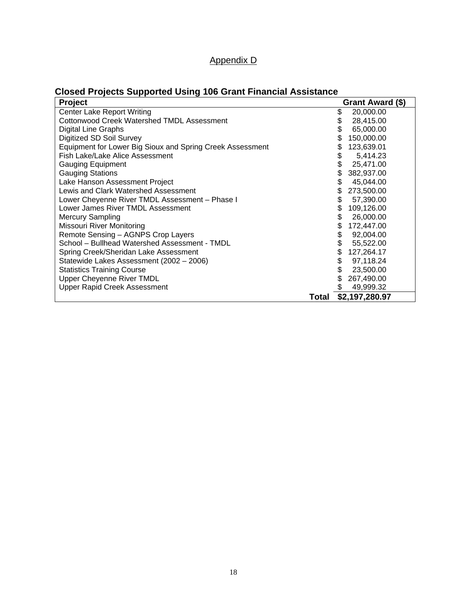| Project                                                   |       | Grant Award (\$) |
|-----------------------------------------------------------|-------|------------------|
| <b>Center Lake Report Writing</b>                         | \$    | 20,000.00        |
| Cottonwood Creek Watershed TMDL Assessment                | \$    | 28,415.00        |
| Digital Line Graphs                                       |       | 65,000.00        |
| Digitized SD Soil Survey                                  |       | 150,000.00       |
| Equipment for Lower Big Sioux and Spring Creek Assessment | S     | 123,639.01       |
| Fish Lake/Lake Alice Assessment                           | \$    | 5,414.23         |
| <b>Gauging Equipment</b>                                  |       | 25,471.00        |
| <b>Gauging Stations</b>                                   |       | 382,937.00       |
| Lake Hanson Assessment Project                            | \$    | 45,044.00        |
| Lewis and Clark Watershed Assessment                      | \$    | 273,500.00       |
| Lower Cheyenne River TMDL Assessment - Phase I            | \$    | 57,390.00        |
| Lower James River TMDL Assessment                         | \$    | 109,126.00       |
| <b>Mercury Sampling</b>                                   | \$    | 26,000.00        |
| Missouri River Monitoring                                 | \$    | 172,447.00       |
| Remote Sensing - AGNPS Crop Layers                        | \$    | 92,004.00        |
| School - Bullhead Watershed Assessment - TMDL             |       | 55,522.00        |
| Spring Creek/Sheridan Lake Assessment                     | \$    | 127,264.17       |
| Statewide Lakes Assessment (2002 - 2006)                  | \$    | 97,118.24        |
| <b>Statistics Training Course</b>                         |       | 23,500.00        |
| <b>Upper Cheyenne River TMDL</b>                          |       | 267,490.00       |
| <b>Upper Rapid Creek Assessment</b>                       |       | 49,999.32        |
|                                                           | Total | \$2,197,280.97   |

Appendix D

# **Closed Projects Supported Using 106 Grant Financial Assistance**